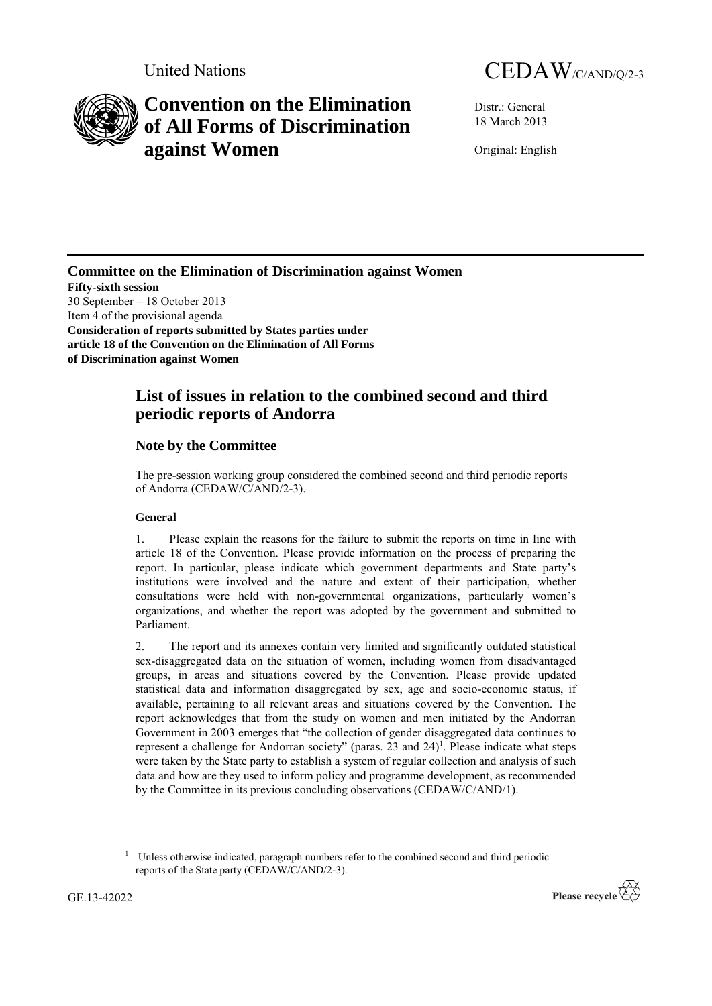



# **Convention on the Elimination of All Forms of Discrimination against Women**

Distr.: General 18 March 2013

Original: English

**Committee on the Elimination of Discrimination against Women**

**Fifty-sixth session** 30 September – 18 October 2013 Item 4 of the provisional agenda **Consideration of reports submitted by States parties under article 18 of the Convention on the Elimination of All Forms of Discrimination against Women**

# **List of issues in relation to the combined second and third periodic reports of Andorra**

# **Note by the Committee**

The pre-session working group considered the combined second and third periodic reports of Andorra (CEDAW/C/AND/2-3).

# **General**

1. Please explain the reasons for the failure to submit the reports on time in line with article 18 of the Convention. Please provide information on the process of preparing the report. In particular, please indicate which government departments and State party's institutions were involved and the nature and extent of their participation, whether consultations were held with non-governmental organizations, particularly women's organizations, and whether the report was adopted by the government and submitted to Parliament.

2. The report and its annexes contain very limited and significantly outdated statistical sex-disaggregated data on the situation of women, including women from disadvantaged groups, in areas and situations covered by the Convention. Please provide updated statistical data and information disaggregated by sex, age and socio-economic status, if available, pertaining to all relevant areas and situations covered by the Convention. The report acknowledges that from the study on women and men initiated by the Andorran Government in 2003 emerges that "the collection of gender disaggregated data continues to represent a challenge for Andorran society" (paras. 23 and  $24$ )<sup>1</sup>. Please indicate what steps were taken by the State party to establish a system of regular collection and analysis of such data and how are they used to inform policy and programme development, as recommended by the Committee in its previous concluding observations (CEDAW/C/AND/1).

<sup>1</sup> Unless otherwise indicated, paragraph numbers refer to the combined second and third periodic reports of the State party (CEDAW/C/AND/2-3).

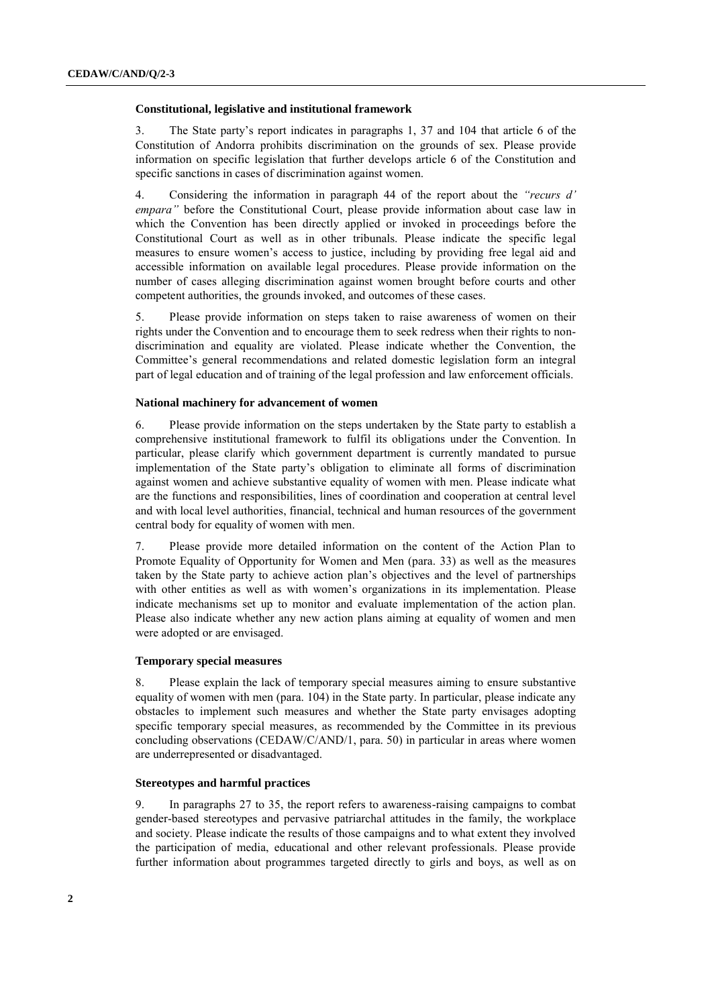### **Constitutional, legislative and institutional framework**

3. The State party's report indicates in paragraphs 1, 37 and 104 that article 6 of the Constitution of Andorra prohibits discrimination on the grounds of sex. Please provide information on specific legislation that further develops article 6 of the Constitution and specific sanctions in cases of discrimination against women.

4. Considering the information in paragraph 44 of the report about the *"recurs d' empara"* before the Constitutional Court, please provide information about case law in which the Convention has been directly applied or invoked in proceedings before the Constitutional Court as well as in other tribunals. Please indicate the specific legal measures to ensure women's access to justice, including by providing free legal aid and accessible information on available legal procedures. Please provide information on the number of cases alleging discrimination against women brought before courts and other competent authorities, the grounds invoked, and outcomes of these cases.

5. Please provide information on steps taken to raise awareness of women on their rights under the Convention and to encourage them to seek redress when their rights to nondiscrimination and equality are violated. Please indicate whether the Convention, the Committee's general recommendations and related domestic legislation form an integral part of legal education and of training of the legal profession and law enforcement officials.

# **National machinery for advancement of women**

6. Please provide information on the steps undertaken by the State party to establish a comprehensive institutional framework to fulfil its obligations under the Convention. In particular, please clarify which government department is currently mandated to pursue implementation of the State party's obligation to eliminate all forms of discrimination against women and achieve substantive equality of women with men. Please indicate what are the functions and responsibilities, lines of coordination and cooperation at central level and with local level authorities, financial, technical and human resources of the government central body for equality of women with men.

7. Please provide more detailed information on the content of the Action Plan to Promote Equality of Opportunity for Women and Men (para. 33) as well as the measures taken by the State party to achieve action plan's objectives and the level of partnerships with other entities as well as with women's organizations in its implementation. Please indicate mechanisms set up to monitor and evaluate implementation of the action plan. Please also indicate whether any new action plans aiming at equality of women and men were adopted or are envisaged.

# **Temporary special measures**

8. Please explain the lack of temporary special measures aiming to ensure substantive equality of women with men (para. 104) in the State party. In particular, please indicate any obstacles to implement such measures and whether the State party envisages adopting specific temporary special measures, as recommended by the Committee in its previous concluding observations (CEDAW/C/AND/1, para. 50) in particular in areas where women are underrepresented or disadvantaged.

# **Stereotypes and harmful practices**

9. In paragraphs 27 to 35, the report refers to awareness-raising campaigns to combat gender-based stereotypes and pervasive patriarchal attitudes in the family, the workplace and society. Please indicate the results of those campaigns and to what extent they involved the participation of media, educational and other relevant professionals. Please provide further information about programmes targeted directly to girls and boys, as well as on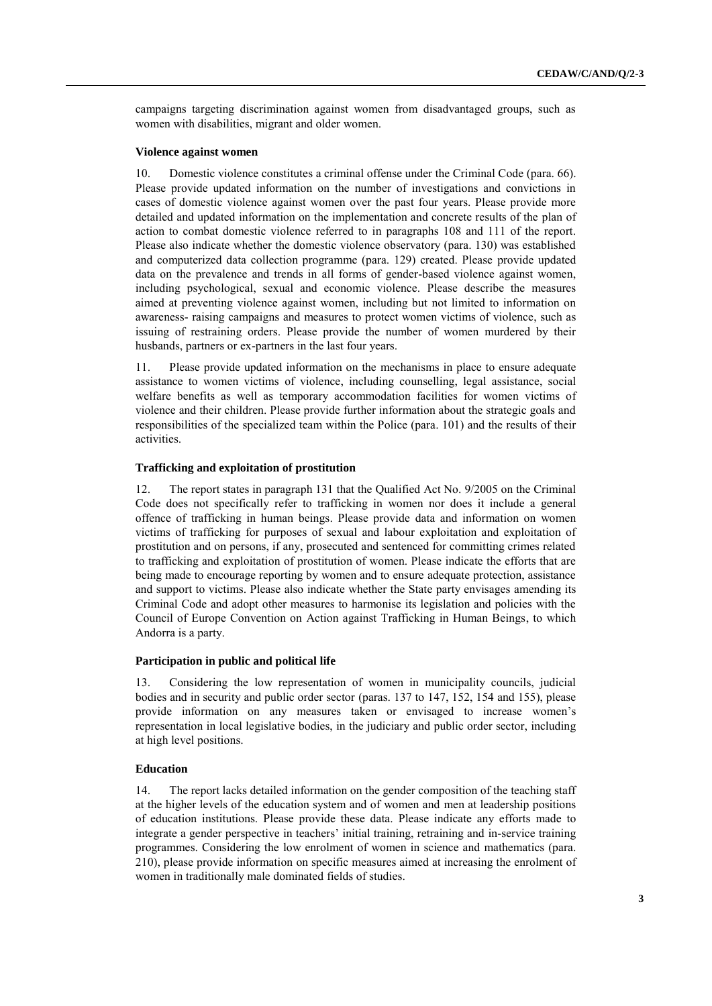campaigns targeting discrimination against women from disadvantaged groups, such as women with disabilities, migrant and older women.

# **Violence against women**

10. Domestic violence constitutes a criminal offense under the Criminal Code (para. 66). Please provide updated information on the number of investigations and convictions in cases of domestic violence against women over the past four years. Please provide more detailed and updated information on the implementation and concrete results of the plan of action to combat domestic violence referred to in paragraphs 108 and 111 of the report. Please also indicate whether the domestic violence observatory (para. 130) was established and computerized data collection programme (para. 129) created. Please provide updated data on the prevalence and trends in all forms of gender-based violence against women, including psychological, sexual and economic violence. Please describe the measures aimed at preventing violence against women, including but not limited to information on awareness- raising campaigns and measures to protect women victims of violence, such as issuing of restraining orders. Please provide the number of women murdered by their husbands, partners or ex-partners in the last four years.

11. Please provide updated information on the mechanisms in place to ensure adequate assistance to women victims of violence, including counselling, legal assistance, social welfare benefits as well as temporary accommodation facilities for women victims of violence and their children. Please provide further information about the strategic goals and responsibilities of the specialized team within the Police (para. 101) and the results of their activities.

# **Trafficking and exploitation of prostitution**

12. The report states in paragraph 131 that the Qualified Act No. 9/2005 on the Criminal Code does not specifically refer to trafficking in women nor does it include a general offence of trafficking in human beings. Please provide data and information on women victims of trafficking for purposes of sexual and labour exploitation and exploitation of prostitution and on persons, if any, prosecuted and sentenced for committing crimes related to trafficking and exploitation of prostitution of women. Please indicate the efforts that are being made to encourage reporting by women and to ensure adequate protection, assistance and support to victims. Please also indicate whether the State party envisages amending its Criminal Code and adopt other measures to harmonise its legislation and policies with the Council of Europe Convention on Action against Trafficking in Human Beings, to which Andorra is a party.

# **Participation in public and political life**

13. Considering the low representation of women in municipality councils, judicial bodies and in security and public order sector (paras. 137 to 147, 152, 154 and 155), please provide information on any measures taken or envisaged to increase women's representation in local legislative bodies, in the judiciary and public order sector, including at high level positions.

# **Education**

14. The report lacks detailed information on the gender composition of the teaching staff at the higher levels of the education system and of women and men at leadership positions of education institutions. Please provide these data. Please indicate any efforts made to integrate a gender perspective in teachers' initial training, retraining and in-service training programmes. Considering the low enrolment of women in science and mathematics (para. 210), please provide information on specific measures aimed at increasing the enrolment of women in traditionally male dominated fields of studies.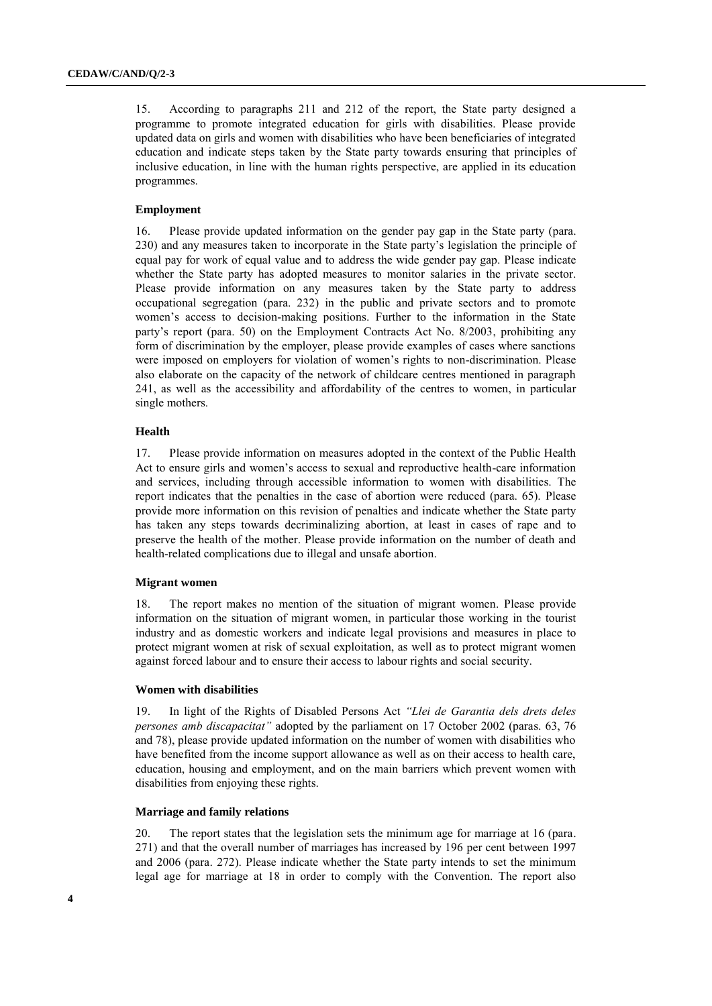15. According to paragraphs 211 and 212 of the report, the State party designed a programme to promote integrated education for girls with disabilities. Please provide updated data on girls and women with disabilities who have been beneficiaries of integrated education and indicate steps taken by the State party towards ensuring that principles of inclusive education, in line with the human rights perspective, are applied in its education programmes.

# **Employment**

16. Please provide updated information on the gender pay gap in the State party (para. 230) and any measures taken to incorporate in the State party's legislation the principle of equal pay for work of equal value and to address the wide gender pay gap. Please indicate whether the State party has adopted measures to monitor salaries in the private sector. Please provide information on any measures taken by the State party to address occupational segregation (para. 232) in the public and private sectors and to promote women's access to decision-making positions. Further to the information in the State party's report (para. 50) on the Employment Contracts Act No. 8/2003, prohibiting any form of discrimination by the employer, please provide examples of cases where sanctions were imposed on employers for violation of women's rights to non-discrimination. Please also elaborate on the capacity of the network of childcare centres mentioned in paragraph 241, as well as the accessibility and affordability of the centres to women, in particular single mothers.

#### **Health**

17. Please provide information on measures adopted in the context of the Public Health Act to ensure girls and women's access to sexual and reproductive health-care information and services, including through accessible information to women with disabilities. The report indicates that the penalties in the case of abortion were reduced (para. 65). Please provide more information on this revision of penalties and indicate whether the State party has taken any steps towards decriminalizing abortion, at least in cases of rape and to preserve the health of the mother. Please provide information on the number of death and health-related complications due to illegal and unsafe abortion.

#### **Migrant women**

18. The report makes no mention of the situation of migrant women. Please provide information on the situation of migrant women, in particular those working in the tourist industry and as domestic workers and indicate legal provisions and measures in place to protect migrant women at risk of sexual exploitation, as well as to protect migrant women against forced labour and to ensure their access to labour rights and social security.

#### **Women with disabilities**

19. In light of the Rights of Disabled Persons Act *"Llei de Garantia dels drets deles persones amb discapacitat"* adopted by the parliament on 17 October 2002 (paras. 63, 76 and 78), please provide updated information on the number of women with disabilities who have benefited from the income support allowance as well as on their access to health care, education, housing and employment, and on the main barriers which prevent women with disabilities from enjoying these rights.

# **Marriage and family relations**

20. The report states that the legislation sets the minimum age for marriage at 16 (para. 271) and that the overall number of marriages has increased by 196 per cent between 1997 and 2006 (para. 272). Please indicate whether the State party intends to set the minimum legal age for marriage at 18 in order to comply with the Convention. The report also